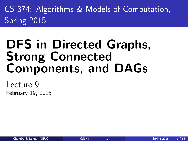CS 374: Algorithms & Models of Computation, Spring 2015

# DFS in Directed Graphs, Strong Connected Components, and DAGs

<span id="page-0-0"></span>Lecture 9 February 19, 2015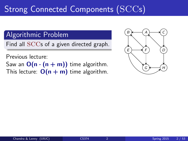# Strong Connected Components  $(\mathrm{SCCs})$

### Algorithmic Problem

Find all SCCs of a given directed graph.

Previous lecture: Saw an  $O(n \cdot (n + m))$  time algorithm. This lecture:  $O(n + m)$  time algorithm.

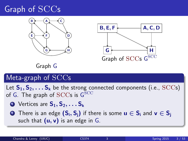# Graph of SCCs





Graph G

### Meta-graph of SCCs

Let  $S_1, S_2, \ldots S_k$  be the strong connected components (i.e., SCCs) of G. The graph of  $\mathrm{SCCs}$  is  $\overline{\mathrm{G}}^{\mathrm{SCC}}$ 

- **1** Vertices are  $S_1, S_2, \ldots S_k$
- **2** There is an edge  $(S_i, S_i)$  if there is some  $u \in S_i$  and  $v \in S_i$ such that  $(u, v)$  is an edge in  $G$ .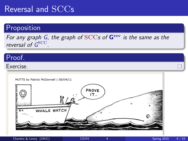### Reversal and SCCs

#### **Proposition**

For any graph G, the graph of  $SCCs$  of  $G<sup>rev</sup>$  is the same as the reversal of G<sup>SCC</sup>.

#### Proof.

#### Exercise.

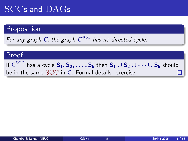# SCCs and DAGs

### Proposition

For any graph G, the graph  $G^{\rm SCC}$  has no directed cycle.

#### Proof.

If  $\mathsf{G}^\mathrm{SCC}$  has a cycle  $\mathsf{S}_1,\mathsf{S}_2,\ldots,\mathsf{S}_\mathsf{k}$  then  $\mathsf{S}_1\cup\mathsf{S}_2\cup\cdots\cup\mathsf{S}_\mathsf{k}$  should be in the same SCC in G. Formal details: exercise.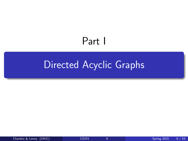# <span id="page-5-0"></span>Part I

# [Directed Acyclic Graphs](#page-5-0)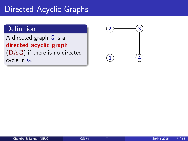### Directed Acyclic Graphs

### Definition

A directed graph G is a directed acyclic graph

(DAG) if there is no directed cycle in G.

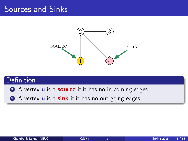### Sources and Sinks



### **Definition**

**4** A vertex **u** is a **source** if it has no in-coming edges.

2 A vertex **u** is a **sink** if it has no out-going edges.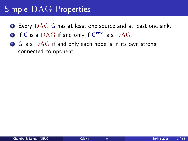### Simple DAG Properties

- $\bullet$  Every DAG G has at least one source and at least one sink.
- **2** If G is a DAG if and only if  $G^{rev}$  is a DAG.
- **3** G is a DAG if and only each node is in its own strong connected component.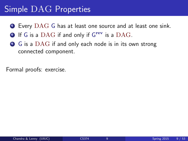### Simple DAG Properties

- $\bullet$  Every DAG G has at least one source and at least one sink.
- **2** If G is a DAG if and only if  $G^{rev}$  is a DAG.
- **3** G is a DAG if and only each node is in its own strong connected component.

Formal proofs: exercise.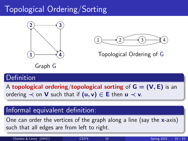# Topological Ordering/Sorting





Topological Ordering of G

Graph G

### Definition

A topological ordering/topological sorting of  $G = (V, E)$  is an ordering  $\prec$  on **V** such that if  $(u, v) \in E$  then  $u \prec v$ .

### Informal equivalent definition:

One can order the vertices of the graph along a line (say the  $x$ -axis) such that all edges are from left to right.

Chandra & Lenny (UIUC) [CS374](#page-0-0) 10 Spring 2015 10 / 53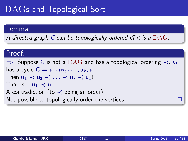# DAGs and Topological Sort

#### Lemma

A directed graph G can be topologically ordered iff it is a  $\rm DAG$ .

#### Proof.

 $\Rightarrow$ : Suppose G is not a DAG and has a topological ordering  $\prec$ . G has a cycle  $C = u_1, u_2, \ldots, u_k, u_1$ . Then  $u_1 \prec u_2 \prec \ldots \prec u_k \prec u_1!$ That is...  $u_1 \prec u_1$ . A contradiction (to  $\prec$  being an order). Not possible to topologically order the vertices.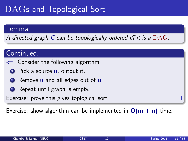# DAGs and Topological Sort

#### Lemma

A directed graph G can be topologically ordered iff it is a  $\rm DAG$ .

### Continued.

- $\Leftarrow$ : Consider the following algorithm:
	- **1** Pick a source **u**, output it.
	- **2** Remove **u** and all edges out of **u**.
	- **3** Repeat until graph is empty.

Exercise: prove this gives toplogical sort.

Exercise: show algorithm can be implemented in  $O(m + n)$  time.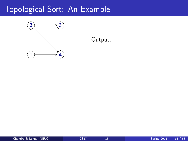

#### Output: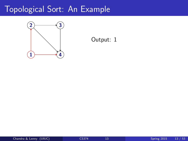

#### Output: 1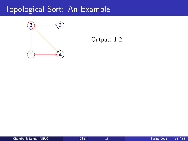

#### Output: 1 2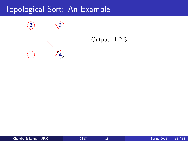

#### Output: 1 2 3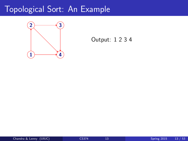

#### Output: 1 2 3 4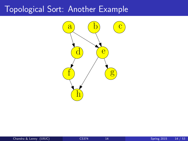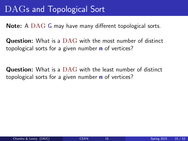### DAGs and Topological Sort

Note: A DAG G may have many different topological sorts.

**Question:** What is a DAG with the most number of distinct topological sorts for a given number **n** of vertices?

**Question:** What is a DAG with the least number of distinct topological sorts for a given number **n** of vertices?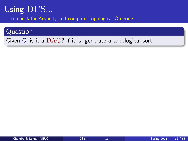### Using DFS...

to check for Acylicity and compute Topological Ordering

#### Question

Given G, is it a DAG? If it is, generate a topological sort.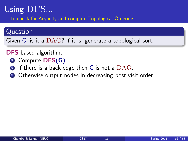### Using DFS...

to check for Acylicity and compute Topological Ordering

#### Question

Given G, is it a DAG? If it is, generate a topological sort.

#### DFS based algorithm:

- **O** Compute DFS(G)
- $\bullet$  If there is a back edge then G is not a  $\rm DAG.$
- Otherwise output nodes in decreasing post-visit order.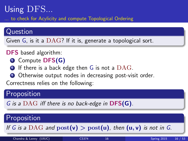### Using DFS...

to check for Acylicity and compute Topological Ordering

#### Question

Given G, is it a DAG? If it is, generate a topological sort.

#### DFS based algorithm:

- **O** Compute DFS(G)
- $\bullet$  If there is a back edge then G is not a  $\rm DAG.$
- **3** Otherwise output nodes in decreasing post-visit order.

Correctness relies on the following:

### Proposition

G is a DAG iff there is no back-edge in  $DFS(G)$ .

### **Proposition**

If G is a DAG and  $post(v) > post(u)$ , then  $(u, v)$  is not in G.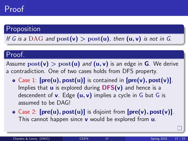### Proof

### Proposition

If G is a DAG and  $post(v) > post(u)$ , then  $(u, v)$  is not in G.

### Proof.

Assume  $post(v) > post(u)$  and  $(u, v)$  is an edge in G. We derive a contradiction. One of two cases holds from DFS property.

- Case 1:  $[pre(u), post(u)]$  is contained in  $[pre(v), post(v)]$ . Implies that  $\bf{u}$  is explored during  $\bf{DFS}(v)$  and hence is a descendent of  $v$ . Edge  $(u, v)$  implies a cycle in G but G is assumed to be DAG!
- Case 2:  $[\text{pre}(u), \text{post}(u)]$  is disjoint from  $[\text{pre}(v), \text{post}(v)]$ . This cannot happen since  $v$  would be explored from  $u$ .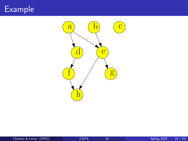# Example

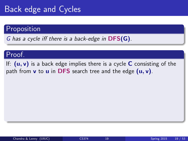## Back edge and Cycles

#### Proposition

G has a cycle iff there is a back-edge in DFS(G).

### Proof.

If:  $(u, v)$  is a back edge implies there is a cycle C consisting of the path from  $v$  to  $u$  in DFS search tree and the edge  $(u, v)$ .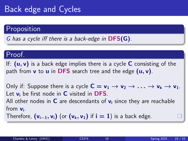# Back edge and Cycles

### Proposition

G has a cycle iff there is a back-edge in DFS(G).

#### Proof.

If:  $(u, v)$  is a back edge implies there is a cycle C consisting of the path from  $v$  to  $u$  in DFS search tree and the edge  $(u, v)$ .

Only if: Suppose there is a cycle  $C = v_1 \rightarrow v_2 \rightarrow \ldots \rightarrow v_k \rightarrow v_1$ . Let  $v_i$  be first node in  $C$  visited in DFS. All other nodes in  $C$  are descendants of  $v_i$  since they are reachable from  $v_i$ .

Therefore,  $(v_{i-1}, v_i)$  (or  $(v_k, v_1)$  if  $i = 1$ ) is a back edge.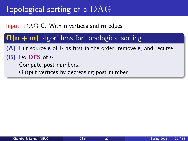## Topological sorting of a DAG

Input:  $\text{DAG}$  G. With **n** vertices and **m** edges.

### $O(n + m)$  algorithms for topological sorting

(A) Put source s of G as first in the order, remove s, and recurse.

### (B) Do DFS of G.

Compute post numbers.

Output vertices by decreasing post number.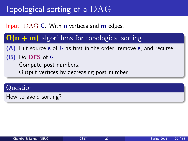# Topological sorting of a DAG

### Input:  $\text{DAG}$  G. With **n** vertices and **m** edges.

### $O(n + m)$  algorithms for topological sorting

(A) Put source s of G as first in the order, remove s, and recurse.

### (B) Do DFS of G.

Compute post numbers.

Output vertices by decreasing post number.

#### Question

How to avoid sorting?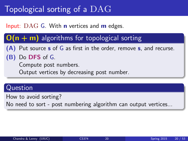# Topological sorting of a DAG

### Input:  $\text{DAG}$  G. With **n** vertices and **m** edges.

### $O(n + m)$  algorithms for topological sorting

(A) Put source s of G as first in the order, remove s, and recurse.

### (B) Do DFS of G.

Compute post numbers.

Output vertices by decreasing post number.

#### Question

How to avoid sorting?

No need to sort - post numbering algorithm can output vertices...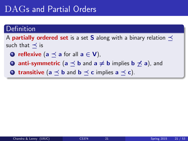### DAGs and Partial Orders

#### Definition

A **partially ordered set** is a set S along with a binary relation  $\prec$ such that  $\prec$  is

- **O** reflexive (a  $\preceq$  a for all  $a \in V$ ),
- **2 anti-symmetric** ( $a \prec b$  and  $a \neq b$  implies  $b \not\prec a$ ), and

**3 transitive** ( $a \prec b$  and  $b \prec c$  implies  $a \prec c$ ).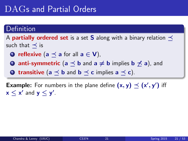### DAGs and Partial Orders

#### Definition

A **partially ordered set** is a set **S** along with a binary relation  $\prec$ such that  $\prec$  is

- **O** reflexive (a  $\preceq$  a for all  $a \in V$ ),
- **2 anti-symmetric** ( $a \prec b$  and  $a \neq b$  implies  $b \not\prec a$ ), and
- **3** transitive (a  $\prec$  b and b  $\prec$  c implies a  $\prec$  c).

**Example:** For numbers in the plane define  $(x, y) \preceq (x', y')$  iff  $x \leq x'$  and  $y \leq y'$ .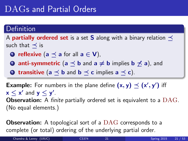### DAGs and Partial Orders

#### Definition

A **partially ordered set** is a set S along with a binary relation  $\prec$ such that  $\prec$  is

- **O** reflexive (a  $\preceq$  a for all  $a \in V$ ),
- **2 anti-symmetric** ( $a \prec b$  and  $a \neq b$  implies  $b \not\prec a$ ), and
- **3 transitive** ( $a \prec b$  and  $b \prec c$  implies  $a \prec c$ ).

**Example:** For numbers in the plane define  $(x, y) \preceq (x', y')$  iff  $x \leq x'$  and  $y \leq y'$ . **Observation:** A finite partially ordered set is equivalent to a DAG. (No equal elements.)

**Observation:** A topological sort of a DAG corresponds to a complete (or total) ordering of the underlying partial order.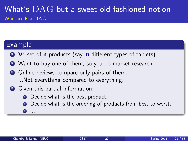### What's DAG but a sweet old fashioned notion Who needs a DAG...

### Example

- $\bullet$  V: set of **n** products (say, **n** different types of tablets).
- 2 Want to buy one of them, so you do market research...
- **3** Online reviews compare only pairs of them. ...Not everything compared to everything.
- <sup>4</sup> Given this partial information:
	- **Q** Decide what is the best product.
	- **■** Decide what is the ordering of products from best to worst.
	- <sup>3</sup> ...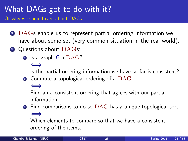### What DAGs got to do with it? Or why we should care about DAGs

- **1** DAGs enable us to represent partial ordering information we have about some set (very common situation in the real world).
- **2** Questions about DAGs:
	- $\bullet$  Is a graph G a  $\text{DAG}$ ?

⇐⇒

Is the partial ordering information we have so far is consistent?

 $\bullet$  Compute a topological ordering of a  $\rm DAG.$ 

⇐⇒

Find an a consistent ordering that agrees with our partial information.

 $\bullet$  Find comparisons to do so  $\rm DAG$  has a unique topological sort. ⇐⇒

Which elements to compare so that we have a consistent ordering of the items.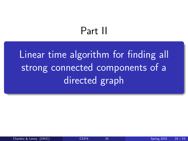# <span id="page-35-0"></span>Part II

[Linear time algorithm for finding all](#page-35-0) [strong connected components of a](#page-35-0) [directed graph](#page-35-0)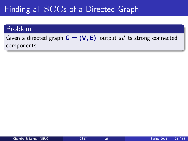## Finding all SCCs of a Directed Graph

#### Problem

Given a directed graph  $G = (V, E)$ , output *all* its strong connected components.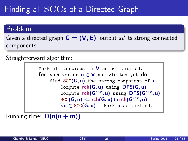## Finding all SCCs of a Directed Graph

#### Problem

Given a directed graph  $G = (V, E)$ , output *all* its strong connected components.

Straightforward algorithm:

Mark all vertices in  $V$  as not visited. for each vertex  $u \in V$  not visited yet do find  $SCC(G, u)$  the strong component of  $u$ : Compute  $rch(G, u)$  using  $DFS(G, u)$ Compute  $rch(\mathsf{G}^{\mathrm{rev}},\mathsf{u})$  using  $\mathsf{DFS}(\mathsf{G}^{\mathrm{rev}},\mathsf{u})$  $\text{SCC}(\mathsf{G}, \mathsf{u}) \Leftarrow \mathsf{rch}(\mathsf{G}, \mathsf{u}) \cap \mathsf{rch}(\mathsf{G}^{\text{rev}}, \mathsf{u})$  $\forall u \in \text{SCC}(\mathsf{G}, u)$ : Mark u as visited.

Running time:  $O(n(n + m))$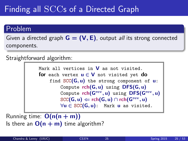## Finding all SCCs of a Directed Graph

#### Problem

Given a directed graph  $G = (V, E)$ , output *all* its strong connected components.

Straightforward algorithm:

Mark all vertices in  $V$  as not visited. for each vertex  $u \in V$  not visited yet do find  $SCC(G, u)$  the strong component of  $u$ : Compute  $rch(G, u)$  using  $DFS(G, u)$ Compute  $rch(\mathsf{G}^{\mathrm{rev}},\mathsf{u})$  using  $\mathsf{DFS}(\mathsf{G}^{\mathrm{rev}},\mathsf{u})$  $\text{SCC}(\mathsf{G}, \mathsf{u}) \Leftarrow \mathsf{rch}(\mathsf{G}, \mathsf{u}) \cap \mathsf{rch}(\mathsf{G}^{\text{rev}}, \mathsf{u})$  $\forall u \in \text{SCC}(\mathsf{G}, u)$ : Mark u as visited.

Running time:  $O(n(n + m))$ Is there an  $O(n + m)$  time algorithm?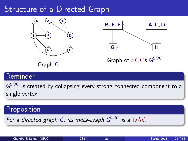## Structure of a Directed Graph





Graph of SCCs G<sup>SCC</sup>

Graph G

### Reminder

 $\mathsf{G}^{\text{SCC}}$  is created by collapsing every strong connected component to a single vertex.

### Proposition

For a directed graph G, its meta-graph  $G^{\rm SCC}$  is a  $\rm DAG.$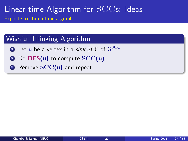#### Wishful Thinking Algorithm

- $\bullet$  Let  $\sf{u}$  be a vertex in a *sink* SCC of  $\mathsf{G}^{\rm SCC}$
- Do  $DFS(u)$  to compute  $SCC(u)$
- <sup>3</sup> Remove SCC(u) and repeat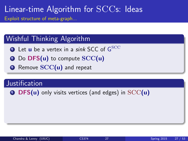### Wishful Thinking Algorithm

- $\bullet$  Let  $\sf{u}$  be a vertex in a *sink* SCC of  $\mathsf{G}^{\rm SCC}$
- Do  $DFS(u)$  to compute  $SCC(u)$
- <sup>3</sup> Remove SCC(u) and repeat

#### **Justification**

 $\bullet$  DFS(u) only visits vertices (and edges) in SCC(u)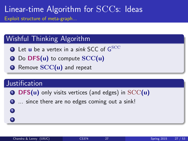### Wishful Thinking Algorithm

- $\bullet$  Let  $\sf{u}$  be a vertex in a *sink* SCC of  $\mathsf{G}^{\rm SCC}$
- 2 Do DFS(u) to compute SCC(u)
- <sup>3</sup> Remove SCC(u) and repeat

#### **Justification**

3 4

- **O** DFS(u) only visits vertices (and edges) in  $SCC(u)$
- 2 ... since there are no edges coming out a sink!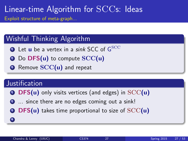### Wishful Thinking Algorithm

- $\bullet$  Let  $\sf{u}$  be a vertex in a *sink* SCC of  $\mathsf{G}^{\rm SCC}$
- 2 Do DFS(u) to compute SCC(u)
- <sup>3</sup> Remove SCC(u) and repeat

#### **Justification**

4

- **O** DFS(u) only visits vertices (and edges) in  $SCC(u)$
- 2 ... since there are no edges coming out a sink!
- $\bullet$  DFS(u) takes time proportional to size of SCC(u)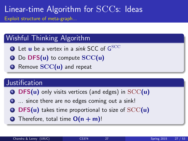### Wishful Thinking Algorithm

- $\bullet$  Let  ${\sf u}$  be a vertex in a *sink* SCC of  ${\sf G}^{\rm SCC}$
- 2 Do DFS(u) to compute SCC(u)
- <sup>3</sup> Remove SCC(u) and repeat

#### **Justification**

- $\bullet$  DFS(u) only visits vertices (and edges) in  $SCC(u)$
- 2 ... since there are no edges coming out a sink!
- $\bullet$  DFS(u) takes time proportional to size of SCC(u)
- $\bullet$  Therefore, total time  $O(n + m)!$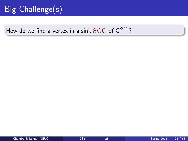## Big Challenge(s)

### How do we find a vertex in a sink  $\mathrm{SCC}$  of  $\mathsf{G}^{\mathrm{SCC}}$ ?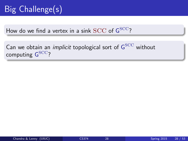## Big Challenge(s)

How do we find a vertex in a sink  $\mathrm{SCC}$  of  $\mathsf{G}^{\mathrm{SCC}}$ ?

Can we obtain an *implicit* topological sort of  ${\sf G}^{\rm SCC}$  without computing  $\mathsf{G}^{\rm SCC}$ ?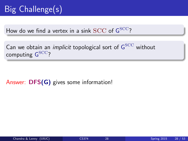How do we find a vertex in a sink  $\mathrm{SCC}$  of  $\mathsf{G}^{\mathrm{SCC}}$ ?

Can we obtain an *implicit* topological sort of  ${\sf G}^{\rm SCC}$  without computing  $\mathsf{G}^{\rm SCC}$ ?

Answer: DFS(G) gives some information!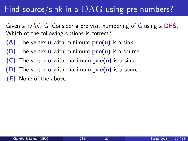## Find source/sink in a DAG using pre-numbers?

Given a DAG G, Consider a pre visit numbering of G using a DFS. Which of the following options is correct?

- $(A)$  The vertex **u** with minimum  $pre(u)$  is a sink.
- $(B)$  The vertex **u** with minimum  $pre(u)$  is a source.
- $(C)$  The vertex **u** with maximum  $pre(u)$  is a sink.
- (D) The vertex  $\bf{u}$  with maximum  $\bf{pre}(\bf{u})$  is a source.
- (E) None of the above.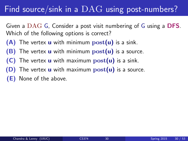## Find source/sink in a  $\rm DAG$  using post-numbers?

Given a DAG G, Consider a post visit numbering of G using a DFS. Which of the following options is correct?

- $(A)$  The vertex **u** with minimum  $post(u)$  is a sink.
- (B) The vertex  $\bf{u}$  with minimum  $\rm{post}(\bf{u})$  is a source.
- $(C)$  The vertex **u** with maximum  $post(u)$  is a sink.
- (D) The vertex  $\bf{u}$  with maximum  $\bf{post}(\bf{u})$  is a source.
- (E) None of the above.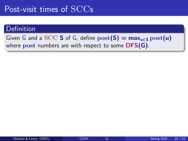## Post-visit times of SCCs

#### Definition

Given G and a SCC S of G, define  $post(S) = max_{u \in S} post(u)$ where post numbers are with respect to some DFS(G).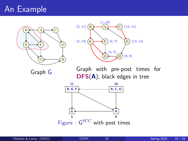## An Example



Graph G



Graph with pre-post times for DFS(A); black edges in tree

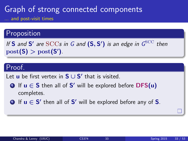### Graph of strong connected components ... and post-visit times

#### Proposition

If S and S' are  $\mathrm{SCCs}$  in G and  $(S, S')$  is an edge in  $G^{\mathrm{SCC}}$  then  $\text{post}(\mathsf{S}) > \text{post}(\mathsf{S}')$ .

### Proof.

Let  $\mathbf u$  be first vertex in  $\mathbf S \cup \mathbf S'$  that is visited.

- **1** If  $u \in S$  then all of  $S'$  will be explored before  $DFS(u)$ completes.
- **2** If  $u \in S'$  then all of S' will be explored before any of S.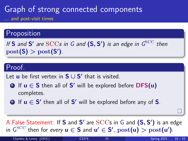### Graph of strong connected components ... and post-visit times

#### **Proposition**

If S and S' are  $\mathrm{SCCs}$  in G and  $(S, S')$  is an edge in  $G^{\mathrm{SCC}}$  then  $\text{post}(\mathsf{S}) > \text{post}(\mathsf{S}')$ .

### Proof.

Let  $\mathbf u$  be first vertex in  $\mathbf S \cup \mathbf S'$  that is visited.

- **1** If  $u \in S$  then all of  $S'$  will be explored before  $DFS(u)$ completes.
- **2** If  $u \in S'$  then all of S' will be explored before any of S.

A False Statement: If S and S' are  $\mathrm{SCCs}$  in G and  $(\mathsf{S}, \mathsf{S}')$  is an edge in  $G^{\text{SCC}}$  then for every  $\mathbf{u} \in \mathbf{S}$  and  $\mathbf{u}' \in \mathbf{S}'$ ,  $\text{post}(\mathbf{u}) > \text{post}(\mathbf{u}')$ .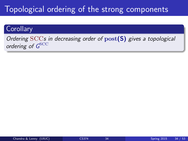## Topological ordering of the strong components

#### **Corollary**

Ordering  $SCCs$  in decreasing order of  $post(S)$  gives a topological ordering of  $G^{\rm SCC}$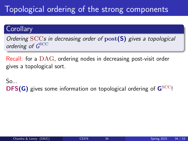## Topological ordering of the strong components

#### **Corollary**

Ordering  $SCCs$  in decreasing order of  $post(S)$  gives a topological ordering of  $G^{\rm SCC}$ 

Recall: for a DAG, ordering nodes in decreasing post-visit order gives a topological sort.

 $S_{\Omega_{\text{max}}}$ **DFS(G)** gives some information on topological ordering of  $\mathbf{G}^{\text{SCC}}$ !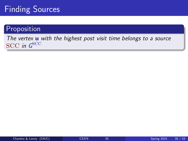## Finding Sources

#### Proposition

The vertex **u** with the highest post visit time belongs to a source  $\mathrm{SCC}$  in  $\boldsymbol{G}^{\mathrm{SCC}}$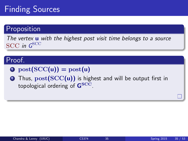## Finding Sources

#### Proposition

The vertex **u** with the highest post visit time belongs to a source  $\mathrm{SCC}$  in  $\boldsymbol{G}^{\mathrm{SCC}}$ 

#### Proof.

- $\bullet$  post(SCC(u)) = post(u)
- **2** Thus,  $post(SCC(u))$  is highest and will be output first in topological ordering of  $G<sup>SCC</sup>$ .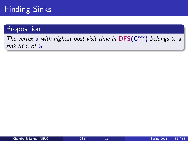## Finding Sinks

#### Proposition

The vertex  $\bf{u}$  with highest post visit time in DFS( $\bf{G}^{\text{rev}}$ ) belongs to a sink SCC of G.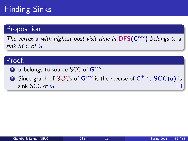## Finding Sinks

#### Proposition

The vertex **u** with highest post visit time in  $DFS(G<sup>rev</sup>)$  belongs to a sink SCC of G.

#### Proof.

- <sup>1</sup> **u** belongs to source SCC of G<sup>rev</sup>
- $\textbf{2}$  Since graph of SCCs of  $\textbf{G}^{\text{rev}}$  is the reverse of  $\text{G}^{\text{SCC}}$ ,  $\textbf{SCC}(\textbf{u})$  is sink SCC of G.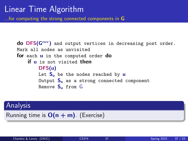## Linear Time Algorithm

...for computing the strong connected components in G

do DFS(G<sup>rev</sup>) and output vertices in decreasing post order. Mark all nodes as unvisited for each **u** in the computed order do if u is not visited then DFS(u) Let  $S_{\mathbf{u}}$  be the nodes reached by  $\mathbf{u}$ Output  $S_{\mathbf{u}}$  as a strong connected component Remove  $S_{\cdot\cdot}$  from  $G$ 

#### **Analysis**

Running time is  $O(n + m)$ . (Exercise)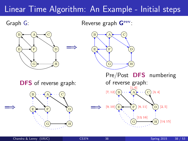## Linear Time Algorithm: An Example - Initial steps

Graph G:

=⇒

Reverse graph  $G<sup>rev</sup>$ :





DFS of reverse graph:



Pre/Post DFS numbering of reverse graph:  $[1, 6]$ [7, 12]  $[9, 10]$   $\overline{E}$   $\overline{F}$   $[8, 11]$ [13, 16] [2, 5] [3, 4]  $E \rightarrow F$  $\mathbf{B}$  )  $\cdots$   $\mathbf{A}$   $\mathbf{A}$   $\cdots$  (C D A

G

=⇒

[14, 15]

H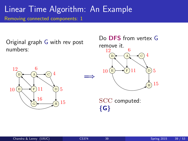Original graph G with rev post numbers:





SCC computed:  ${G}$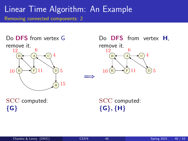



SCC computed:  ${G}$ 

SCC computed:  $\{G\}, \{H\}$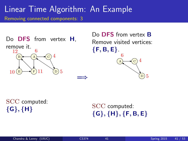Do **DFS** from vertex **H**, remove it.  $E \rightarrow$  $B \longleftarrow (A \longleftarrow C$ D A 11 12  $10 \times \text{F} 11 \quad \textcircled{b} 5$ 4

Do **DFS** from vertex **B** Remove visited vertices:  ${F, B, E}.$ C D A 6 5 4

SCC computed:  ${G}, {H}$ 

SCC computed:  ${G}, {H}, {F, B, E}$ 

=⇒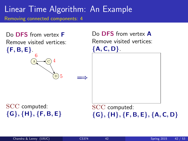

{G}, {H}, {F, B, E}

 ${G}, {H}, {F, B, E}, {A, C, D}$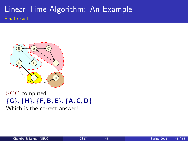### Linear Time Algorithm: An Example Final result



SCC computed:  $\{G\}, \{H\}, \{F, B, E\}, \{A, C, D\}$ Which is the correct answer!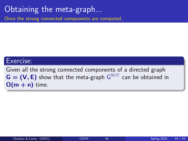## Obtaining the meta-graph...

Once the strong connected components are computed.

#### Exercise:

Given all the strong connected components of a directed graph  $G = (V, E)$  show that the meta-graph  $G^{\text{SCC}}$  can be obtained in  $O(m + n)$  time.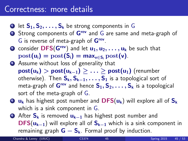### Correctness: more details

- **1** let  $S_1, S_2, \ldots, S_k$  be strong components in G
- **2** Strong components of G<sup>rev</sup> and G are same and meta-graph of G is reverse of meta-graph of Grev.
- **3** consider DFS(G<sup>rev</sup>) and let  $u_1, u_2, \ldots, u_k$  be such that  $post(u_i) = post(S_i) = max_{v \in S_i} post(v).$
- <sup>4</sup> Assume without loss of generality that  $post(u_k) > post(u_{k-1}) > ... > post(u_1)$  (renumber otherwise). Then  $S_k, S_{k-1}, \ldots, S_1$  is a topological sort of meta-graph of  $G^{rev}$  and hence  $S_1, S_2, \ldots, S_k$  is a topological sort of the meta-graph of G.
- $\bullet$  u<sub>k</sub> has highest post number and  $\text{DFS}(u_k)$  will explore all of  $\text{S}_k$ which is a sink component in G.
- **6** After  $S_k$  is removed  $u_{k-1}$  has highest post number and  $\text{DFS}(u_{k-1})$  will explore all of  $S_{k-1}$  which is a sink component in remaining graph  $G - S_k$ . Formal proof by induction.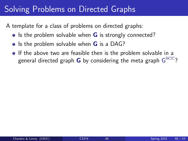## Solving Problems on Directed Graphs

A template for a class of problems on directed graphs:

- $\bullet$  Is the problem solvable when G is strongly connected?
- Is the problem solvable when  $G$  is a DAG?
- **If the above two are feasible then is the problem solvable in a** general directed graph  ${\bf G}$  by considering the meta graph  ${\rm G}^{\rm SCC}$ ?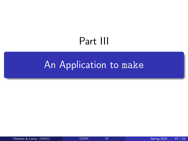# <span id="page-70-0"></span>Part III

# [An Application to](#page-70-0) make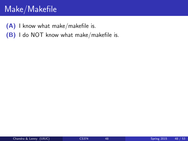## Make/Makefile

(A) I know what make/makefile is.

(B) I do NOT know what make/makefile is.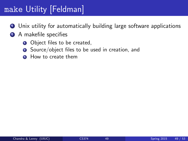# make Utility [Feldman]

- **1** Unix utility for automatically building large software applications
- 2 A makefile specifies
	- **1** Object files to be created,
	- **2** Source/object files to be used in creation, and
	- **3** How to create them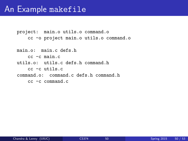project: main.o utils.o command.o cc -o project main.o utils.o command.o

main.o: main.c defs.h cc -c main.c utils.o: utils.c defs.h command.h cc -c utils.c command.o: command.c defs.h command.h cc -c command.c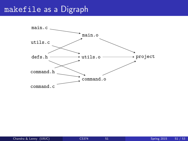#### makefile as a Digraph

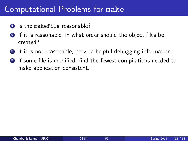### Computational Problems for make

- **1** Is the makefile reasonable?
- 2 If it is reasonable, in what order should the object files be created?
- **3** If it is not reasonable, provide helpful debugging information.
- <sup>4</sup> If some file is modified, find the fewest compilations needed to make application consistent.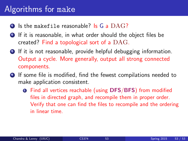## Algorithms for make

- $\bullet$  Is the makefile reasonable? Is G a  $\rm DAG$ ?
- 2 If it is reasonable, in what order should the object files be created? Find a topological sort of a DAG.
- **3** If it is not reasonable, provide helpful debugging information. Output a cycle. More generally, output all strong connected components.
- **4** If some file is modified, find the fewest compilations needed to make application consistent.
	- **Q** Find all vertices reachable (using DFS/BFS) from modified files in directed graph, and recompile them in proper order. Verify that one can find the files to recompile and the ordering in linear time.